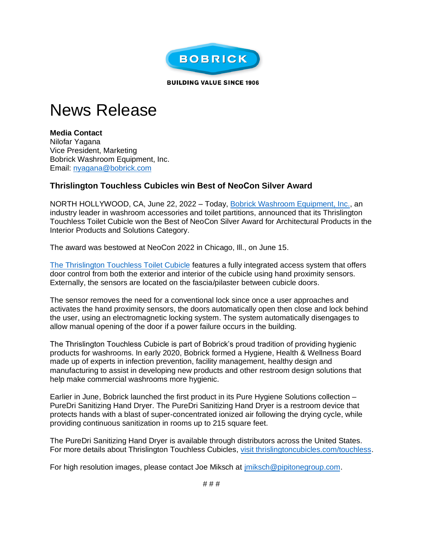

**BUILDING VALUE SINCE 1906** 

## News Release

**Media Contact** Nilofar Yagana Vice President, Marketing Bobrick Washroom Equipment, Inc. Email: [nyagana@bobrick.com](mailto:nyagana@bobrick.com) 

## **Thrislington Touchless Cubicles win Best of NeoCon Silver Award**

NORTH HOLLYWOOD, CA, June 22, 2022 – Today, [Bobrick Washroom Equipment, Inc.,](https://t.nylas.com/t1/71/7rg545qc5ptvufi1x6imenc99/1/e7899383831522b46b3de8a06d9ff5b1778a4359952b4f82e6a720353617dd0a) an industry leader in washroom accessories and toilet partitions, announced that its Thrislington Touchless Toilet Cubicle won the Best of NeoCon Silver Award for Architectural Products in the Interior Products and Solutions Category.

The award was bestowed at NeoCon 2022 in Chicago, Ill., on June 15.

[The Thrislington Touchless Toilet Cubicle](https://www.thrislingtoncubicles.com/touchless) features a fully integrated access system that offers door control from both the exterior and interior of the cubicle using hand proximity sensors. Externally, the sensors are located on the fascia/pilaster between cubicle doors.

The sensor removes the need for a conventional lock since once a user approaches and activates the hand proximity sensors, the doors automatically open then close and lock behind the user, using an electromagnetic locking system. The system automatically disengages to allow manual opening of the door if a power failure occurs in the building.

The Thrislington Touchless Cubicle is part of Bobrick's proud tradition of providing hygienic products for washrooms. In early 2020, Bobrick formed a Hygiene, Health & Wellness Board made up of experts in infection prevention, facility management, healthy design and manufacturing to assist in developing new products and other restroom design solutions that help make commercial washrooms more hygienic.

Earlier in June, Bobrick launched the first product in its Pure Hygiene Solutions collection – PureDri Sanitizing Hand Dryer. The PureDri Sanitizing Hand Dryer is a restroom device that protects hands with a blast of super-concentrated ionized air following the drying cycle, while providing continuous sanitization in rooms up to 215 square feet.

The PureDri Sanitizing Hand Dryer is available through distributors across the United States. For more details about Thrislington Touchless Cubicles, [visit thrislingtoncubicles.com/touchless.](https://www.thrislingtoncubicles.com/touchless)

For high resolution images, please contact Joe Miksch at [jmiksch@pipitonegroup.com.](https://t.nylas.com/t1/71/7rg545qc5ptvufi1x6imenc99/4/fe058aa33533e14302738fe17ecb7ff4e5bcb1ea55d521424fc0fdf75b8f888b)